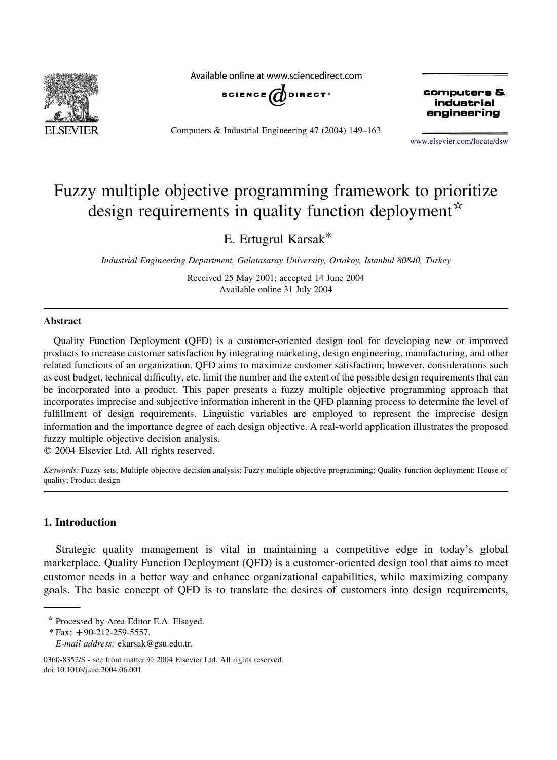

Available online at www.sciencedirect.com



Computers & Industrial Engineering 47 (2004) 149–163

computers & industrial engineering

[www.elsevier.com/locate/dsw](http://www.elsevier.com/locate/dsw)

## Fuzzy multiple objective programming framework to prioritize design requirements in quality function deployment  $\tilde{f}$

E. Ertugrul Karsak\*

Industrial Engineering Department, Galatasaray University, Ortakoy, Istanbul 80840, Turkey

Received 25 May 2001; accepted 14 June 2004 Available online 31 July 2004

## Abstract

Quality Function Deployment (QFD) is a customer-oriented design tool for developing new or improved products to increase customer satisfaction by integrating marketing, design engineering, manufacturing, and other related functions of an organization. QFD aims to maximize customer satisfaction; however, considerations such as cost budget, technical difficulty, etc. limit the number and the extent of the possible design requirements that can be incorporated into a product. This paper presents a fuzzy multiple objective programming approach that incorporates imprecise and subjective information inherent in the QFD planning process to determine the level of fulfillment of design requirements. Linguistic variables are employed to represent the imprecise design information and the importance degree of each design objective. A real-world application illustrates the proposed fuzzy multiple objective decision analysis.

 $Q$  2004 Elsevier Ltd. All rights reserved.

Keywords: Fuzzy sets; Multiple objective decision analysis; Fuzzy multiple objective programming; Quality function deployment; House of quality; Product design

## 1. Introduction

Strategic quality management is vital in maintaining a competitive edge in today's global marketplace. Quality Function Deployment (QFD) is a customer-oriented design tool that aims to meet customer needs in a better way and enhance organizational capabilities, while maximizing company goals. The basic concept of QFD is to translate the desires of customers into design requirements,

<sup>\*</sup> Processed by Area Editor E.A. Elsayed.

 $*$  Fax: +90-212-259-5557.

E-mail address: ekarsak@gsu.edu.tr.

<sup>0360-8352/\$ -</sup> see front matter © 2004 Elsevier Ltd. All rights reserved. doi:10.1016/j.cie.2004.06.001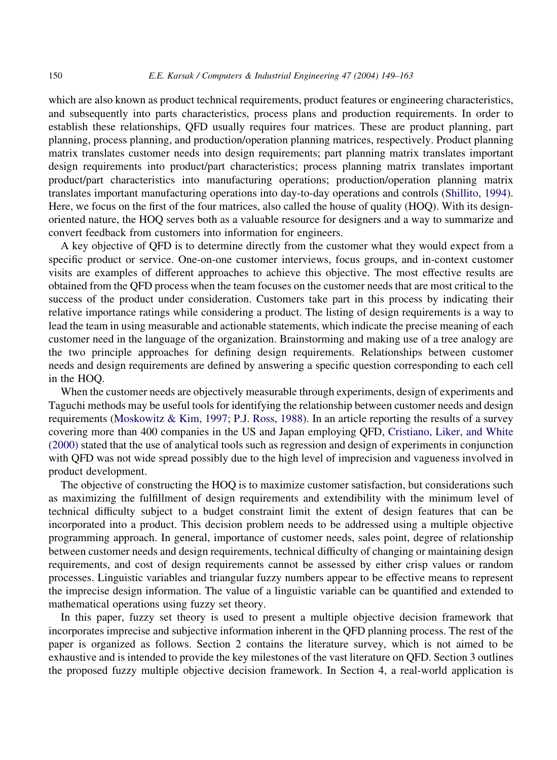which are also known as product technical requirements, product features or engineering characteristics, and subsequently into parts characteristics, process plans and production requirements. In order to establish these relationships, QFD usually requires four matrices. These are product planning, part planning, process planning, and production/operation planning matrices, respectively. Product planning matrix translates customer needs into design requirements; part planning matrix translates important design requirements into product/part characteristics; process planning matrix translates important product/part characteristics into manufacturing operations; production/operation planning matrix translates important manufacturing operations into day-to-day operations and controls [\(Shillito, 1994](#page--1-0)). Here, we focus on the first of the four matrices, also called the house of quality (HOQ). With its designoriented nature, the HOQ serves both as a valuable resource for designers and a way to summarize and convert feedback from customers into information for engineers.

A key objective of QFD is to determine directly from the customer what they would expect from a specific product or service. One-on-one customer interviews, focus groups, and in-context customer visits are examples of different approaches to achieve this objective. The most effective results are obtained from the QFD process when the team focuses on the customer needs that are most critical to the success of the product under consideration. Customers take part in this process by indicating their relative importance ratings while considering a product. The listing of design requirements is a way to lead the team in using measurable and actionable statements, which indicate the precise meaning of each customer need in the language of the organization. Brainstorming and making use of a tree analogy are the two principle approaches for defining design requirements. Relationships between customer needs and design requirements are defined by answering a specific question corresponding to each cell in the HOQ.

When the customer needs are objectively measurable through experiments, design of experiments and Taguchi methods may be useful tools for identifying the relationship between customer needs and design requirements [\(Moskowitz & Kim, 1997; P.J. Ross, 1988\)](#page--1-0). In an article reporting the results of a survey covering more than 400 companies in the US and Japan employing QFD, [Cristiano, Liker, and White](#page--1-0) [\(2000\)](#page--1-0) stated that the use of analytical tools such as regression and design of experiments in conjunction with QFD was not wide spread possibly due to the high level of imprecision and vagueness involved in product development.

The objective of constructing the HOQ is to maximize customer satisfaction, but considerations such as maximizing the fulfillment of design requirements and extendibility with the minimum level of technical difficulty subject to a budget constraint limit the extent of design features that can be incorporated into a product. This decision problem needs to be addressed using a multiple objective programming approach. In general, importance of customer needs, sales point, degree of relationship between customer needs and design requirements, technical difficulty of changing or maintaining design requirements, and cost of design requirements cannot be assessed by either crisp values or random processes. Linguistic variables and triangular fuzzy numbers appear to be effective means to represent the imprecise design information. The value of a linguistic variable can be quantified and extended to mathematical operations using fuzzy set theory.

In this paper, fuzzy set theory is used to present a multiple objective decision framework that incorporates imprecise and subjective information inherent in the QFD planning process. The rest of the paper is organized as follows. Section 2 contains the literature survey, which is not aimed to be exhaustive and is intended to provide the key milestones of the vast literature on QFD. Section 3 outlines the proposed fuzzy multiple objective decision framework. In Section 4, a real-world application is